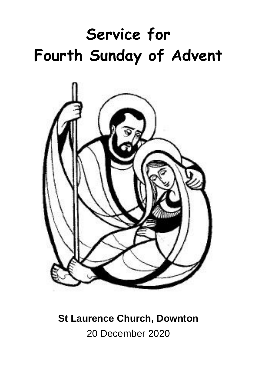# **Service for Fourth Sunday of Advent**



# **St Laurence Church, Downton** 20 December 2020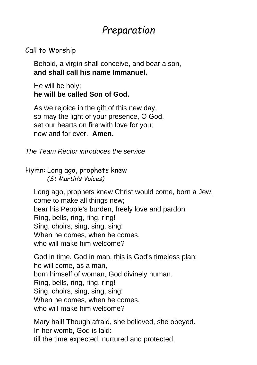# *Preparation*

#### Call to Worship

Behold, a virgin shall conceive, and bear a son, **and shall call his name Immanuel.**

He will be holy; **he will be called Son of God.**

As we rejoice in the gift of this new day, so may the light of your presence, O God, set our hearts on fire with love for you; now and for ever. **Amen.**

*The Team Rector introduces the service*

Hymn: Long ago, prophets knew *(St Martin's Voices)*

Long ago, prophets knew Christ would come, born a Jew, come to make all things new; bear his People's burden, freely love and pardon. Ring, bells, ring, ring, ring! Sing, choirs, sing, sing, sing! When he comes, when he comes, who will make him welcome?

God in time, God in man, this is God's timeless plan: he will come, as a man, born himself of woman, God divinely human. Ring, bells, ring, ring, ring! Sing, choirs, sing, sing, sing! When he comes, when he comes, who will make him welcome?

Mary hail! Though afraid, she believed, she obeyed. In her womb, God is laid: till the time expected, nurtured and protected,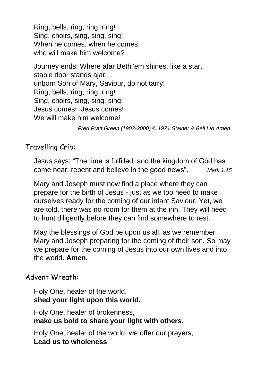Ring, bells, ring, ring, ring! Sing, choirs, sing, sing, sing! When he comes, when he comes, who will make him welcome?

Journey ends! Where afar Bethl'em shines, like a star, stable door stands ajar. unborn Son of Mary, Saviour, do not tarry! Ring, bells, ring, ring, ring! Sing, choirs, sing, sing, sing! Jesus comes! Jesus comes! We will make him welcome!

*Fred Pratt Green (1903-2000) © 1971 Stainer & Bell Ltd Amen.*

#### Travelling Crib:

Jesus says: "The time is fulfilled, and the kingdom of God has come near; repent and believe in the good news". *Mark 1:15*

Mary and Joseph must now find a place where they can prepare for the birth of Jesus - just as we too need to make ourselves ready for the coming of our infant Saviour. Yet, we are told, there was no room for them at the inn. They will need to hunt diligently before they can find somewhere to rest.

May the blessings of God be upon us all, as we remember Mary and Joseph preparing for the coming of their son. So may we prepare for the coming of Jesus into our own lives and into the world. **Amen.**

#### Advent Wreath:

Holy One, healer of the world, **shed your light upon this world.**

Holy One, healer of brokenness, **make us bold to share your light with others.**

Holy One, healer of the world, we offer our prayers, **Lead us to wholeness**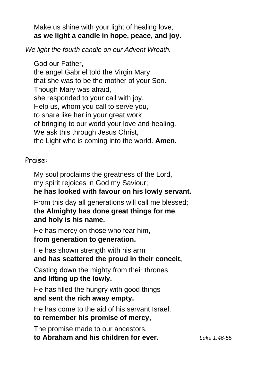Make us shine with your light of healing love, **as we light a candle in hope, peace, and joy.**

*We light the fourth candle on our Advent Wreath.*

God our Father, the angel Gabriel told the Virgin Mary that she was to be the mother of your Son. Though Mary was afraid, she responded to your call with joy. Help us, whom you call to serve you, to share like her in your great work of bringing to our world your love and healing. We ask this through Jesus Christ, the Light who is coming into the world. **Amen.**

#### Praise:

My soul proclaims the greatness of the Lord, my spirit rejoices in God my Saviour; **he has looked with favour on his lowly servant.**

From this day all generations will call me blessed; **the Almighty has done great things for me and holy is his name.**

He has mercy on those who fear him, **from generation to generation.**

He has shown strength with his arm **and has scattered the proud in their conceit,**

Casting down the mighty from their thrones **and lifting up the lowly.**

He has filled the hungry with good things **and sent the rich away empty.**

He has come to the aid of his servant Israel,

#### **to remember his promise of mercy,**

The promise made to our ancestors, **to Abraham and his children for ever.** *Luke 1:46-55*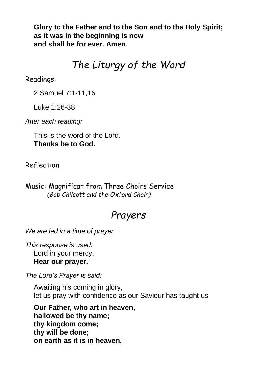**Glory to the Father and to the Son and to the Holy Spirit; as it was in the beginning is now and shall be for ever. Amen.**

## *The Liturgy of the Word*

Readings:

2 Samuel 7:1-11,16

Luke 1:26-38

*After each reading:*

This is the word of the Lord. **Thanks be to God.**

Reflection

Music: Magnificat from Three Choirs Service *(Bob Chilcott and the Oxford Choir)*

## *Prayers*

*We are led in a time of prayer*

*This response is used:* Lord in your mercy, **Hear our prayer.**

*The Lord's Prayer is said:*

Awaiting his coming in glory, let us pray with confidence as our Saviour has taught us

**Our Father, who art in heaven, hallowed be thy name; thy kingdom come; thy will be done; on earth as it is in heaven.**